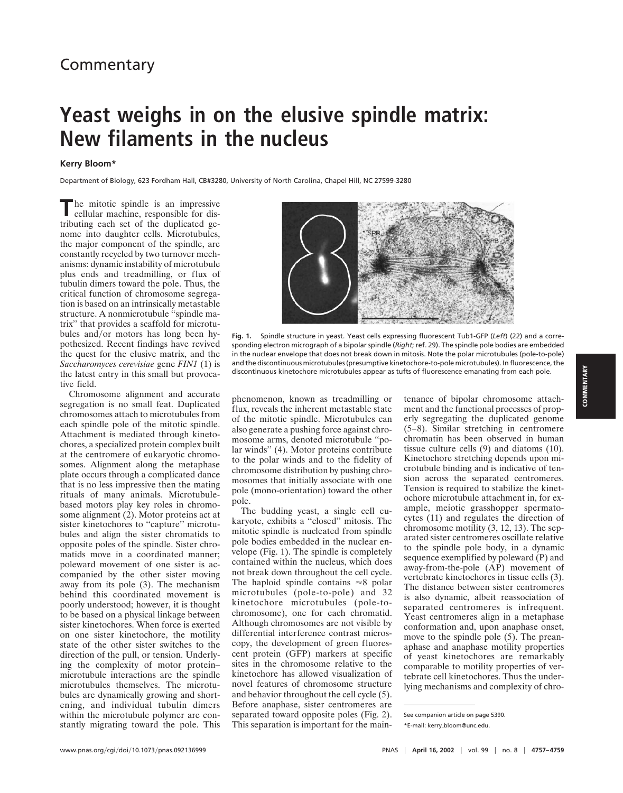## **Yeast weighs in on the elusive spindle matrix: New filaments in the nucleus**

## **Kerry Bloom\***

Department of Biology, 623 Fordham Hall, CB#3280, University of North Carolina, Chapel Hill, NC 27599-3280

**T**he mitotic spindle is an impressive cellular machine, responsible for distributing each set of the duplicated genome into daughter cells. Microtubules, the major component of the spindle, are constantly recycled by two turnover mechanisms: dynamic instability of microtubule plus ends and treadmilling, or flux of tubulin dimers toward the pole. Thus, the critical function of chromosome segregation is based on an intrinsically metastable structure. A nonmicrotubule ''spindle matrix'' that provides a scaffold for microtubules and/or motors has long been hypothesized. Recent findings have revived the quest for the elusive matrix, and the *Saccharomyces cerevisiae* gene *FIN1* (1) is the latest entry in this small but provocative field.

Chromosome alignment and accurate segregation is no small feat. Duplicated chromosomes attach to microtubules from each spindle pole of the mitotic spindle. Attachment is mediated through kinetochores, a specialized protein complex built at the centromere of eukaryotic chromosomes. Alignment along the metaphase plate occurs through a complicated dance that is no less impressive then the mating rituals of many animals. Microtubulebased motors play key roles in chromosome alignment (2). Motor proteins act at sister kinetochores to "capture" microtubules and align the sister chromatids to opposite poles of the spindle. Sister chromatids move in a coordinated manner; poleward movement of one sister is accompanied by the other sister moving away from its pole (3). The mechanism behind this coordinated movement is poorly understood; however, it is thought to be based on a physical linkage between sister kinetochores. When force is exerted on one sister kinetochore, the motility state of the other sister switches to the direction of the pull, or tension. Underlying the complexity of motor protein– microtubule interactions are the spindle microtubules themselves. The microtubules are dynamically growing and shortening, and individual tubulin dimers within the microtubule polymer are constantly migrating toward the pole. This



**Fig. 1.** Spindle structure in yeast. Yeast cells expressing fluorescent Tub1-GFP (*Left*) (22) and a corresponding electron micrograph of a bipolar spindle (*Right*; ref. 29). The spindle pole bodies are embedded in the nuclear envelope that does not break down in mitosis. Note the polar microtubules (pole-to-pole) and the discontinuous microtubules (presumptive kinetochore-to-pole microtubules). In fluorescence, the discontinuous kinetochore microtubules appear as tufts of fluorescence emanating from each pole.

phenomenon, known as treadmilling or flux, reveals the inherent metastable state of the mitotic spindle. Microtubules can also generate a pushing force against chromosome arms, denoted microtubule ''polar winds'' (4). Motor proteins contribute to the polar winds and to the fidelity of chromosome distribution by pushing chromosomes that initially associate with one pole (mono-orientation) toward the other pole.

The budding yeast, a single cell eukaryote, exhibits a ''closed'' mitosis. The mitotic spindle is nucleated from spindle pole bodies embedded in the nuclear envelope (Fig. 1). The spindle is completely contained within the nucleus, which does not break down throughout the cell cycle. The haploid spindle contains  $\approx 8$  polar microtubules (pole-to-pole) and 32 kinetochore microtubules (pole-tochromosome), one for each chromatid. Although chromosomes are not visible by differential interference contrast microscopy, the development of green fluorescent protein (GFP) markers at specific sites in the chromosome relative to the kinetochore has allowed visualization of novel features of chromosome structure and behavior throughout the cell cycle (5). Before anaphase, sister centromeres are separated toward opposite poles (Fig. 2). This separation is important for the main-

tenance of bipolar chromosome attachment and the functional processes of properly segregating the duplicated genome (5–8). Similar stretching in centromere chromatin has been observed in human tissue culture cells (9) and diatoms (10). Kinetochore stretching depends upon microtubule binding and is indicative of tension across the separated centromeres. Tension is required to stabilize the kinetochore microtubule attachment in, for example, meiotic grasshopper spermatocytes (11) and regulates the direction of chromosome motility (3, 12, 13). The separated sister centromeres oscillate relative to the spindle pole body, in a dynamic sequence exemplified by poleward (P) and away-from-the-pole (AP) movement of vertebrate kinetochores in tissue cells (3). The distance between sister centromeres is also dynamic, albeit reassociation of separated centromeres is infrequent. Yeast centromeres align in a metaphase conformation and, upon anaphase onset, move to the spindle pole (5). The preanaphase and anaphase motility properties of yeast kinetochores are remarkably comparable to motility properties of vertebrate cell kinetochores. Thus the underlying mechanisms and complexity of chro-

See companion article on page 5390.

<sup>\*</sup>E-mail: kerrybloom@unc.edu.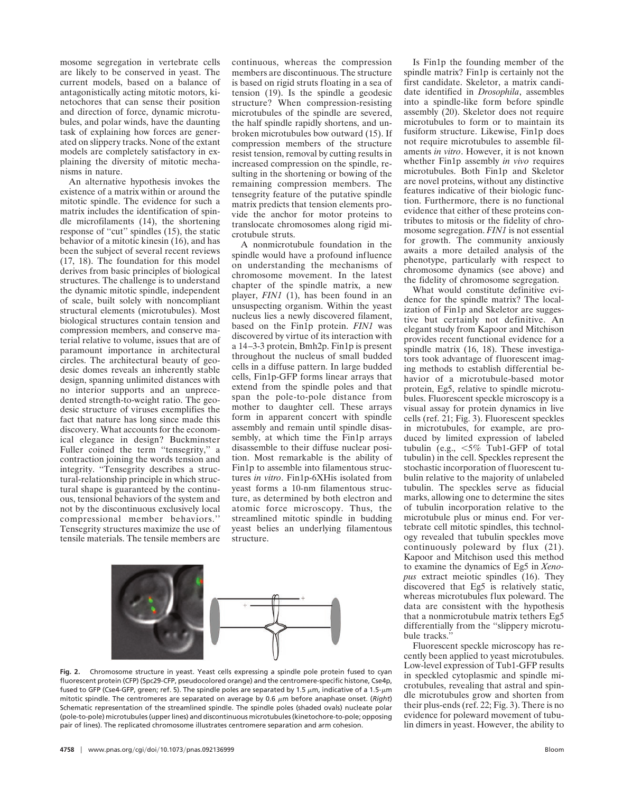mosome segregation in vertebrate cells are likely to be conserved in yeast. The current models, based on a balance of antagonistically acting mitotic motors, kinetochores that can sense their position and direction of force, dynamic microtubules, and polar winds, have the daunting task of explaining how forces are generated on slippery tracks. None of the extant models are completely satisfactory in explaining the diversity of mitotic mechanisms in nature.

An alternative hypothesis invokes the existence of a matrix within or around the mitotic spindle. The evidence for such a matrix includes the identification of spindle microfilaments (14), the shortening response of ''cut'' spindles (15), the static behavior of a mitotic kinesin (16), and has been the subject of several recent reviews (17, 18). The foundation for this model derives from basic principles of biological structures. The challenge is to understand the dynamic mitotic spindle, independent of scale, built solely with noncompliant structural elements (microtubules). Most biological structures contain tension and compression members, and conserve material relative to volume, issues that are of paramount importance in architectural circles. The architectural beauty of geodesic domes reveals an inherently stable design, spanning unlimited distances with no interior supports and an unprecedented strength-to-weight ratio. The geodesic structure of viruses exemplifies the fact that nature has long since made this discovery. What accounts for the economical elegance in design? Buckminster Fuller coined the term "tensegrity," a contraction joining the words tension and integrity. "Tensegrity describes a structural-relationship principle in which structural shape is guaranteed by the continuous, tensional behaviors of the system and not by the discontinuous exclusively local compressional member behaviors.'' Tensegrity structures maximize the use of tensile materials. The tensile members are

continuous, whereas the compression members are discontinuous. The structure is based on rigid struts floating in a sea of tension (19). Is the spindle a geodesic structure? When compression-resisting microtubules of the spindle are severed, the half spindle rapidly shortens, and unbroken microtubules bow outward (15). If compression members of the structure resist tension, removal by cutting results in increased compression on the spindle, resulting in the shortening or bowing of the remaining compression members. The tensegrity feature of the putative spindle matrix predicts that tension elements provide the anchor for motor proteins to translocate chromosomes along rigid microtubule struts.

A nonmicrotubule foundation in the spindle would have a profound influence on understanding the mechanisms of chromosome movement. In the latest chapter of the spindle matrix, a new player, *FIN1* (1), has been found in an unsuspecting organism. Within the yeast nucleus lies a newly discovered filament, based on the Fin1p protein. *FIN1* was discovered by virtue of its interaction with a 14–3-3 protein, Bmh2p. Fin1p is present throughout the nucleus of small budded cells in a diffuse pattern. In large budded cells, Fin1p-GFP forms linear arrays that extend from the spindle poles and that span the pole-to-pole distance from mother to daughter cell. These arrays form in apparent concert with spindle assembly and remain until spindle disassembly, at which time the Fin1p arrays disassemble to their diffuse nuclear position. Most remarkable is the ability of Fin1p to assemble into filamentous structures *in vitro*. Fin1p-6XHis isolated from yeast forms a 10-nm filamentous structure, as determined by both electron and atomic force microscopy. Thus, the streamlined mitotic spindle in budding yeast belies an underlying filamentous structure.



**Fig. 2.** Chromosome structure in yeast. Yeast cells expressing a spindle pole protein fused to cyan fluorescent protein (CFP) (Spc29-CFP, pseudocolored orange) and the centromere-specific histone, Cse4p, fused to GFP (Cse4-GFP, green; ref. 5). The spindle poles are separated by 1.5  $\mu$ m, indicative of a 1.5- $\mu$ m mitotic spindle. The centromeres are separated on average by 0.6  $\mu$ m before anaphase onset. (*Right*) Schematic representation of the streamlined spindle. The spindle poles (shaded ovals) nucleate polar (pole-to-pole) microtubules (upper lines) and discontinuous microtubules (kinetochore-to-pole; opposing pair of lines). The replicated chromosome illustrates centromere separation and arm cohesion.

Is Fin1p the founding member of the spindle matrix? Fin1p is certainly not the first candidate. Skeletor, a matrix candidate identified in *Drosophila*, assembles into a spindle-like form before spindle assembly (20). Skeletor does not require microtubules to form or to maintain its fusiform structure. Likewise, Fin1p does not require microtubules to assemble filaments *in vitro*. However, it is not known whether Fin1p assembly *in vivo* requires microtubules. Both Fin1p and Skeletor are novel proteins, without any distinctive features indicative of their biologic function. Furthermore, there is no functional evidence that either of these proteins contributes to mitosis or the fidelity of chromosome segregation. *FIN1* is not essential for growth. The community anxiously awaits a more detailed analysis of the phenotype, particularly with respect to chromosome dynamics (see above) and the fidelity of chromosome segregation.

What would constitute definitive evidence for the spindle matrix? The localization of Fin1p and Skeletor are suggestive but certainly not definitive. An elegant study from Kapoor and Mitchison provides recent functional evidence for a spindle matrix (16, 18). These investigators took advantage of fluorescent imaging methods to establish differential behavior of a microtubule-based motor protein, Eg5, relative to spindle microtubules. Fluorescent speckle microscopy is a visual assay for protein dynamics in live cells (ref. 21; Fig. 3). Fluorescent speckles in microtubules, for example, are produced by limited expression of labeled tubulin (e.g.,  $\leq 5\%$  Tub1-GFP of total tubulin) in the cell. Speckles represent the stochastic incorporation of fluorescent tubulin relative to the majority of unlabeled tubulin. The speckles serve as fiducial marks, allowing one to determine the sites of tubulin incorporation relative to the microtubule plus or minus end. For vertebrate cell mitotic spindles, this technology revealed that tubulin speckles move continuously poleward by flux (21). Kapoor and Mitchison used this method to examine the dynamics of Eg5 in *Xenopus* extract meiotic spindles (16). They discovered that Eg5 is relatively static, whereas microtubules flux poleward. The data are consistent with the hypothesis that a nonmicrotubule matrix tethers Eg5 differentially from the ''slippery microtubule tracks.''

Fluorescent speckle microscopy has recently been applied to yeast microtubules. Low-level expression of Tub1-GFP results in speckled cytoplasmic and spindle microtubules, revealing that astral and spindle microtubules grow and shorten from their plus-ends (ref. 22; Fig. 3). There is no evidence for poleward movement of tubulin dimers in yeast. However, the ability to